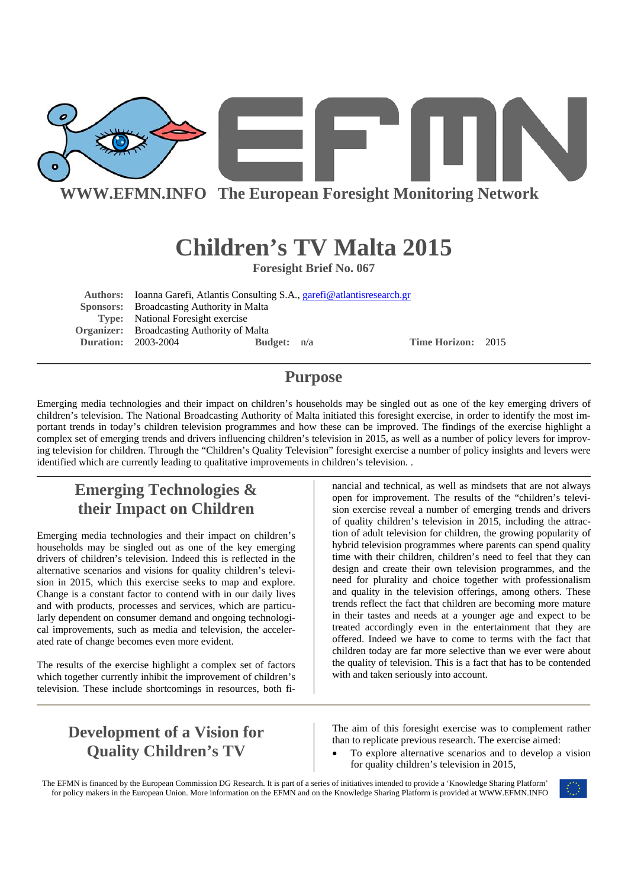

**WWW.EFMN.INFO The European Foresight Monitoring Network**

# **Children's TV Malta 2015**

**Foresight Brief No. 067** 

**Authors:** Ioanna Garefi, Atlantis Consulting S.A., garefi@atlantisresearch.gr  **Sponsors:** Broadcasting Authority in Malta **Type:** National Foresight exercise **Organizer:** Broadcasting Authority of Malta **Duration:** 2003-2004 **Budget:** n/a **Time Horizon:** 2015

### **Purpose**

Emerging media technologies and their impact on children's households may be singled out as one of the key emerging drivers of children's television. The National Broadcasting Authority of Malta initiated this foresight exercise, in order to identify the most important trends in today's children television programmes and how these can be improved. The findings of the exercise highlight a complex set of emerging trends and drivers influencing children's television in 2015, as well as a number of policy levers for improving television for children. Through the "Children's Quality Television" foresight exercise a number of policy insights and levers were identified which are currently leading to qualitative improvements in children's television. .

# **Emerging Technologies & their Impact on Children**

Emerging media technologies and their impact on children's households may be singled out as one of the key emerging drivers of children's television. Indeed this is reflected in the alternative scenarios and visions for quality children's television in 2015, which this exercise seeks to map and explore. Change is a constant factor to contend with in our daily lives and with products, processes and services, which are particularly dependent on consumer demand and ongoing technological improvements, such as media and television, the accelerated rate of change becomes even more evident.

The results of the exercise highlight a complex set of factors which together currently inhibit the improvement of children's television. These include shortcomings in resources, both financial and technical, as well as mindsets that are not always open for improvement. The results of the "children's television exercise reveal a number of emerging trends and drivers of quality children's television in 2015, including the attraction of adult television for children, the growing popularity of hybrid television programmes where parents can spend quality time with their children, children's need to feel that they can design and create their own television programmes, and the need for plurality and choice together with professionalism and quality in the television offerings, among others. These trends reflect the fact that children are becoming more mature in their tastes and needs at a younger age and expect to be treated accordingly even in the entertainment that they are offered. Indeed we have to come to terms with the fact that children today are far more selective than we ever were about the quality of television. This is a fact that has to be contended with and taken seriously into account.

# **Development of a Vision for Quality Children's TV**

The aim of this foresight exercise was to complement rather than to replicate previous research. The exercise aimed:

• To explore alternative scenarios and to develop a vision for quality children's television in 2015,

The EFMN is financed by the European Commission DG Research. It is part of a series of initiatives intended to provide a 'Knowledge Sharing Platform' for policy makers in the European Union. More information on the EFMN and on the Knowledge Sharing Platform is provided at WWW.EFMN.INFO

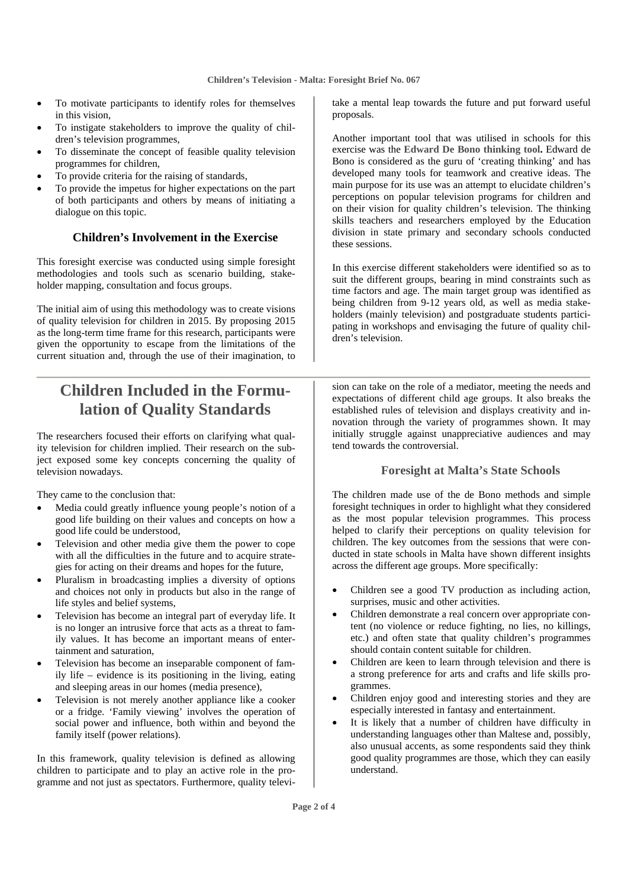- To motivate participants to identify roles for themselves in this vision,
- To instigate stakeholders to improve the quality of children's television programmes,
- To disseminate the concept of feasible quality television programmes for children,
- To provide criteria for the raising of standards,
- To provide the impetus for higher expectations on the part of both participants and others by means of initiating a dialogue on this topic.

#### **Children's Involvement in the Exercise**

This foresight exercise was conducted using simple foresight methodologies and tools such as scenario building, stakeholder mapping, consultation and focus groups.

The initial aim of using this methodology was to create visions of quality television for children in 2015. By proposing 2015 as the long-term time frame for this research, participants were given the opportunity to escape from the limitations of the current situation and, through the use of their imagination, to

# **Children Included in the Formulation of Quality Standards**

The researchers focused their efforts on clarifying what quality television for children implied. Their research on the subject exposed some key concepts concerning the quality of television nowadays.

They came to the conclusion that:

- Media could greatly influence young people's notion of a good life building on their values and concepts on how a good life could be understood,
- Television and other media give them the power to cope with all the difficulties in the future and to acquire strategies for acting on their dreams and hopes for the future,
- Pluralism in broadcasting implies a diversity of options and choices not only in products but also in the range of life styles and belief systems,
- Television has become an integral part of everyday life. It is no longer an intrusive force that acts as a threat to family values. It has become an important means of entertainment and saturation,
- Television has become an inseparable component of family life – evidence is its positioning in the living, eating and sleeping areas in our homes (media presence),
- Television is not merely another appliance like a cooker or a fridge. 'Family viewing' involves the operation of social power and influence, both within and beyond the family itself (power relations).

In this framework, quality television is defined as allowing children to participate and to play an active role in the programme and not just as spectators. Furthermore, quality televitake a mental leap towards the future and put forward useful proposals.

Another important tool that was utilised in schools for this exercise was the **Edward De Bono thinking tool.** Edward de Bono is considered as the guru of 'creating thinking' and has developed many tools for teamwork and creative ideas. The main purpose for its use was an attempt to elucidate children's perceptions on popular television programs for children and on their vision for quality children's television. The thinking skills teachers and researchers employed by the Education division in state primary and secondary schools conducted these sessions.

In this exercise different stakeholders were identified so as to suit the different groups, bearing in mind constraints such as time factors and age. The main target group was identified as being children from 9-12 years old, as well as media stakeholders (mainly television) and postgraduate students participating in workshops and envisaging the future of quality children's television.

sion can take on the role of a mediator, meeting the needs and expectations of different child age groups. It also breaks the established rules of television and displays creativity and innovation through the variety of programmes shown. It may initially struggle against unappreciative audiences and may tend towards the controversial.

#### **Foresight at Malta's State Schools**

The children made use of the de Bono methods and simple foresight techniques in order to highlight what they considered as the most popular television programmes. This process helped to clarify their perceptions on quality television for children. The key outcomes from the sessions that were conducted in state schools in Malta have shown different insights across the different age groups. More specifically:

- Children see a good TV production as including action, surprises, music and other activities.
- Children demonstrate a real concern over appropriate content (no violence or reduce fighting, no lies, no killings, etc.) and often state that quality children's programmes should contain content suitable for children.
- Children are keen to learn through television and there is a strong preference for arts and crafts and life skills programmes.
- Children enjoy good and interesting stories and they are especially interested in fantasy and entertainment.
- It is likely that a number of children have difficulty in understanding languages other than Maltese and, possibly, also unusual accents, as some respondents said they think good quality programmes are those, which they can easily understand.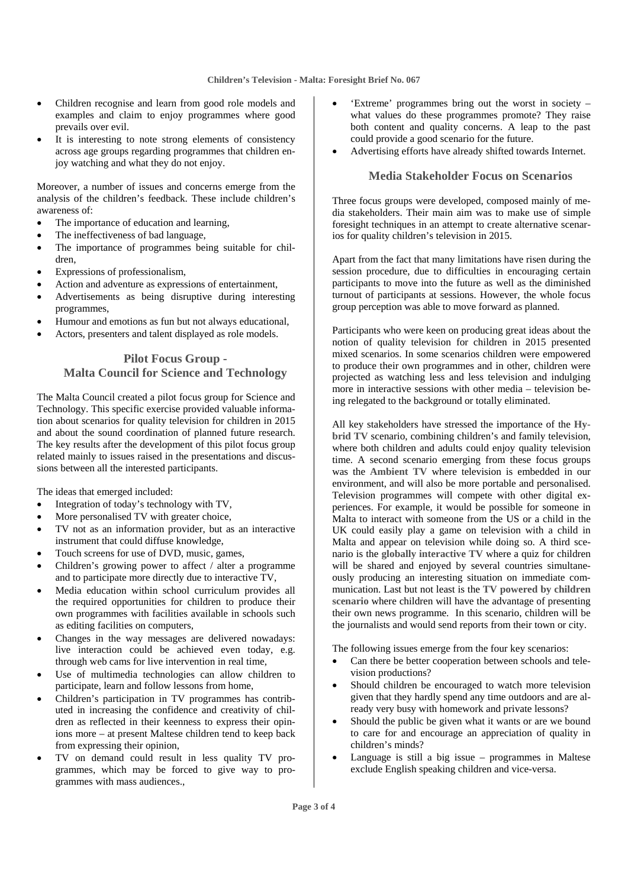- Children recognise and learn from good role models and examples and claim to enjoy programmes where good prevails over evil.
- It is interesting to note strong elements of consistency across age groups regarding programmes that children enjoy watching and what they do not enjoy.

Moreover, a number of issues and concerns emerge from the analysis of the children's feedback. These include children's awareness of:

- The importance of education and learning,
- The ineffectiveness of bad language,
- The importance of programmes being suitable for children,
- Expressions of professionalism,
- Action and adventure as expressions of entertainment,
- Advertisements as being disruptive during interesting programmes,
- Humour and emotions as fun but not always educational,
- Actors, presenters and talent displayed as role models.

#### **Pilot Focus Group - Malta Council for Science and Technology**

The Malta Council created a pilot focus group for Science and Technology. This specific exercise provided valuable information about scenarios for quality television for children in 2015 and about the sound coordination of planned future research. The key results after the development of this pilot focus group related mainly to issues raised in the presentations and discussions between all the interested participants.

The ideas that emerged included:

- Integration of today's technology with TV,
- More personalised TV with greater choice,
- TV not as an information provider, but as an interactive instrument that could diffuse knowledge,
- Touch screens for use of DVD, music, games,
- Children's growing power to affect / alter a programme and to participate more directly due to interactive TV,
- Media education within school curriculum provides all the required opportunities for children to produce their own programmes with facilities available in schools such as editing facilities on computers,
- Changes in the way messages are delivered nowadays: live interaction could be achieved even today, e.g. through web cams for live intervention in real time,
- Use of multimedia technologies can allow children to participate, learn and follow lessons from home,
- Children's participation in TV programmes has contributed in increasing the confidence and creativity of children as reflected in their keenness to express their opinions more – at present Maltese children tend to keep back from expressing their opinion,
- TV on demand could result in less quality TV programmes, which may be forced to give way to programmes with mass audiences.,
- 'Extreme' programmes bring out the worst in society what values do these programmes promote? They raise both content and quality concerns. A leap to the past could provide a good scenario for the future.
- Advertising efforts have already shifted towards Internet.

#### **Media Stakeholder Focus on Scenarios**

Three focus groups were developed, composed mainly of media stakeholders. Their main aim was to make use of simple foresight techniques in an attempt to create alternative scenarios for quality children's television in 2015.

Apart from the fact that many limitations have risen during the session procedure, due to difficulties in encouraging certain participants to move into the future as well as the diminished turnout of participants at sessions. However, the whole focus group perception was able to move forward as planned.

Participants who were keen on producing great ideas about the notion of quality television for children in 2015 presented mixed scenarios. In some scenarios children were empowered to produce their own programmes and in other, children were projected as watching less and less television and indulging more in interactive sessions with other media – television being relegated to the background or totally eliminated.

All key stakeholders have stressed the importance of the **Hybrid TV** scenario, combining children's and family television, where both children and adults could enjoy quality television time. A second scenario emerging from these focus groups was the **Ambient TV** where television is embedded in our environment, and will also be more portable and personalised. Television programmes will compete with other digital experiences. For example, it would be possible for someone in Malta to interact with someone from the US or a child in the UK could easily play a game on television with a child in Malta and appear on television while doing so. A third scenario is the **globally interactive TV** where a quiz for children will be shared and enjoyed by several countries simultaneously producing an interesting situation on immediate communication. Last but not least is the **TV powered by children scenario** where children will have the advantage of presenting their own news programme. In this scenario, children will be the journalists and would send reports from their town or city.

The following issues emerge from the four key scenarios:

- Can there be better cooperation between schools and television productions?
- Should children be encouraged to watch more television given that they hardly spend any time outdoors and are already very busy with homework and private lessons?
- Should the public be given what it wants or are we bound to care for and encourage an appreciation of quality in children's minds?
- Language is still a big issue  $-$  programmes in Maltese exclude English speaking children and vice-versa.